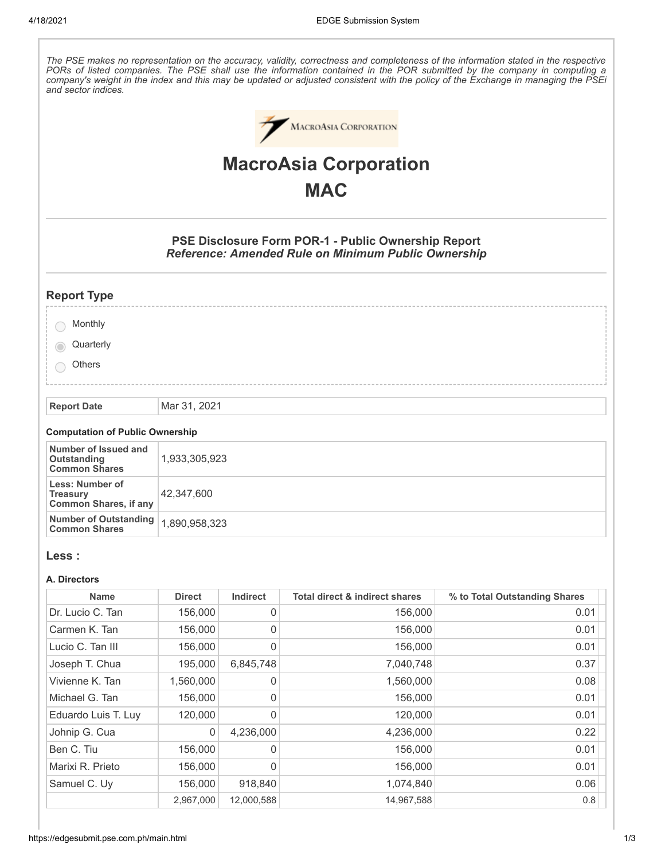The PSE makes no representation on the accuracy, validity, correctness and completeness of the information stated in the respective PORs of listed companies. The PSE shall use the information contained in the POR submitted by the company in computing a company's weight in the index and this may be updated or adjusted consistent with the policy of the Exchange in managing the PSEi *and sector indices.* MACROASIA CORPORATION **MacroAsia Corporation MAC PSE Disclosure Form POR-1 - Public Ownership Report** *Reference: Amended Rule on Minimum Public Ownership* **Report Type Monthly Quarterly Others Report Date** Mar 31, 2021 **Computation of Public Ownership Number of Issued and Outstanding** 1,933,305,923 **Common Shares Less: Number of** 42,347,600 **Treasury Common Shares, if any Number of Outstanding** 1,890,958,323 **Common Shares Less : A. Directors Name Direct Indirect Total direct & indirect shares % to Total Outstanding Shares**

| Dr. Lucio C. Tan    | 156,000     | 0          | 156,000    | 0.01 |
|---------------------|-------------|------------|------------|------|
| Carmen K. Tan       | 156,000     | 0          | 156,000    | 0.01 |
| Lucio C. Tan III    | 156,000     | 0          | 156,000    | 0.01 |
| Joseph T. Chua      | 195,000     | 6,845,748  | 7,040,748  | 0.37 |
| Vivienne K. Tan     | 1,560,000   | 0          | 1,560,000  | 0.08 |
| Michael G. Tan      | 156,000     | 0          | 156,000    | 0.01 |
| Eduardo Luis T. Luy | 120,000     | 0          | 120,000    | 0.01 |
| Johnip G. Cua       | $\mathbf 0$ | 4.236.000  | 4,236,000  | 0.22 |
| Ben C. Tiu          | 156,000     | 0          | 156,000    | 0.01 |
| Marixi R. Prieto    | 156,000     | 0          | 156,000    | 0.01 |
| Samuel C. Uy        | 156,000     | 918,840    | 1,074,840  | 0.06 |
|                     | 2,967,000   | 12,000,588 | 14,967,588 | 0.8  |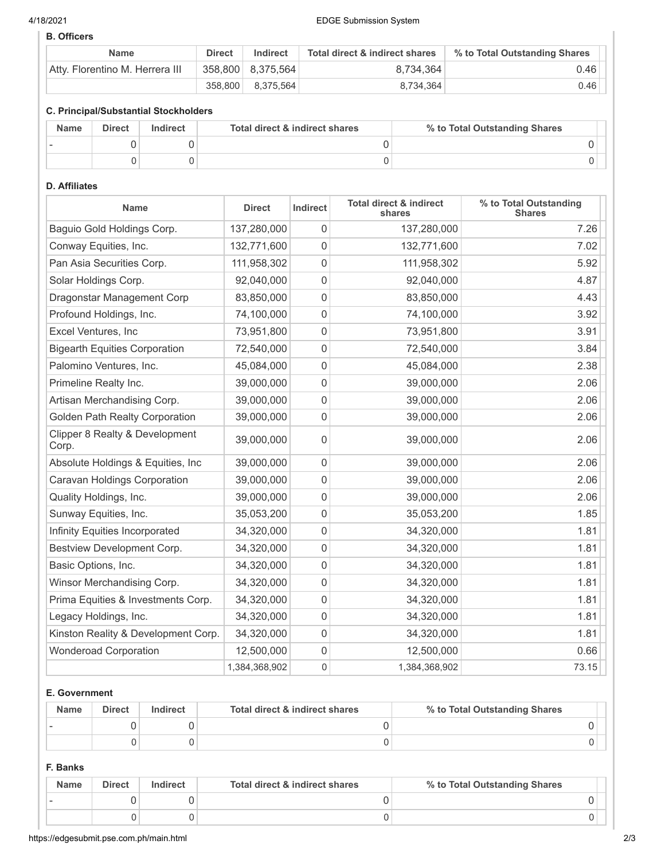### 4/18/2021 EDGE Submission System

# **B. Officers**

| <b>Name</b>                     | <b>Direct</b> | Indirect          | Total direct & indirect shares | % to Total Outstanding Shares |
|---------------------------------|---------------|-------------------|--------------------------------|-------------------------------|
| Atty. Florentino M. Herrera III |               | 358,800 8,375,564 | 8.734.364                      | 0.46                          |
|                                 | 358,800       | 8.375.564         | 8.734.364                      | 0.46                          |

# **C. Principal/Substantial Stockholders**

| <b>Name</b> | <b>Direct</b> | Indirect | Total direct & indirect shares | % to Total Outstanding Shares |
|-------------|---------------|----------|--------------------------------|-------------------------------|
|             |               |          |                                |                               |
|             |               |          |                                |                               |

## **D. Affiliates**

| <b>Name</b>                             | <b>Direct</b> | Indirect         | <b>Total direct &amp; indirect</b><br>shares | % to Total Outstanding<br><b>Shares</b> |
|-----------------------------------------|---------------|------------------|----------------------------------------------|-----------------------------------------|
| Baguio Gold Holdings Corp.              | 137,280,000   | 0                | 137,280,000                                  | 7.26                                    |
| Conway Equities, Inc.                   | 132,771,600   | $\mathbf{0}$     | 132,771,600                                  | 7.02                                    |
| Pan Asia Securities Corp.               | 111,958,302   | 0                | 111,958,302                                  | 5.92                                    |
| Solar Holdings Corp.                    | 92,040,000    | $\mathbf 0$      | 92,040,000                                   | 4.87                                    |
| Dragonstar Management Corp              | 83,850,000    | 0                | 83,850,000                                   | 4.43                                    |
| Profound Holdings, Inc.                 | 74,100,000    | 0                | 74,100,000                                   | 3.92                                    |
| Excel Ventures, Inc                     | 73,951,800    | $\mathbf 0$      | 73,951,800                                   | 3.91                                    |
| <b>Bigearth Equities Corporation</b>    | 72,540,000    | 0                | 72,540,000                                   | 3.84                                    |
| Palomino Ventures, Inc.                 | 45,084,000    | 0                | 45,084,000                                   | 2.38                                    |
| Primeline Realty Inc.                   | 39,000,000    | 0                | 39,000,000                                   | 2.06                                    |
| Artisan Merchandising Corp.             | 39,000,000    | $\mathbf 0$      | 39,000,000                                   | 2.06                                    |
| <b>Golden Path Realty Corporation</b>   | 39,000,000    | $\mathbf 0$      | 39,000,000                                   | 2.06                                    |
| Clipper 8 Realty & Development<br>Corp. | 39,000,000    | 0                | 39,000,000                                   | 2.06                                    |
| Absolute Holdings & Equities, Inc       | 39,000,000    | $\mathbf 0$      | 39,000,000                                   | 2.06                                    |
| Caravan Holdings Corporation            | 39,000,000    | 0                | 39,000,000                                   | 2.06                                    |
| Quality Holdings, Inc.                  | 39,000,000    | $\mathbf 0$      | 39,000,000                                   | 2.06                                    |
| Sunway Equities, Inc.                   | 35,053,200    | 0                | 35,053,200                                   | 1.85                                    |
| Infinity Equities Incorporated          | 34,320,000    | 0                | 34,320,000                                   | 1.81                                    |
| Bestview Development Corp.              | 34,320,000    | 0                | 34,320,000                                   | 1.81                                    |
| Basic Options, Inc.                     | 34,320,000    | $\boldsymbol{0}$ | 34,320,000                                   | 1.81                                    |
| Winsor Merchandising Corp.              | 34,320,000    | $\mathbf 0$      | 34,320,000                                   | 1.81                                    |
| Prima Equities & Investments Corp.      | 34,320,000    | 0                | 34,320,000                                   | 1.81                                    |
| Legacy Holdings, Inc.                   | 34,320,000    | $\mathbf 0$      | 34,320,000                                   | 1.81                                    |
| Kinston Reality & Development Corp.     | 34,320,000    | $\mathbf 0$      | 34,320,000                                   | 1.81                                    |
| <b>Wonderoad Corporation</b>            | 12,500,000    | 0                | 12,500,000                                   | 0.66                                    |
|                                         | 1,384,368,902 | $\mathbf 0$      | 1,384,368,902                                | 73.15                                   |

## **E. Government**

| <b>Name</b> | <b>Direct</b> | Indirect | Total direct & indirect shares | % to Total Outstanding Shares |
|-------------|---------------|----------|--------------------------------|-------------------------------|
|             |               |          |                                |                               |
|             |               |          |                                |                               |

# **F. Banks**

| <b>Name</b> | <b>Direct</b> | <b>Indirect</b> | Total direct & indirect shares | % to Total Outstanding Shares |
|-------------|---------------|-----------------|--------------------------------|-------------------------------|
|             |               |                 |                                |                               |
|             |               |                 |                                |                               |